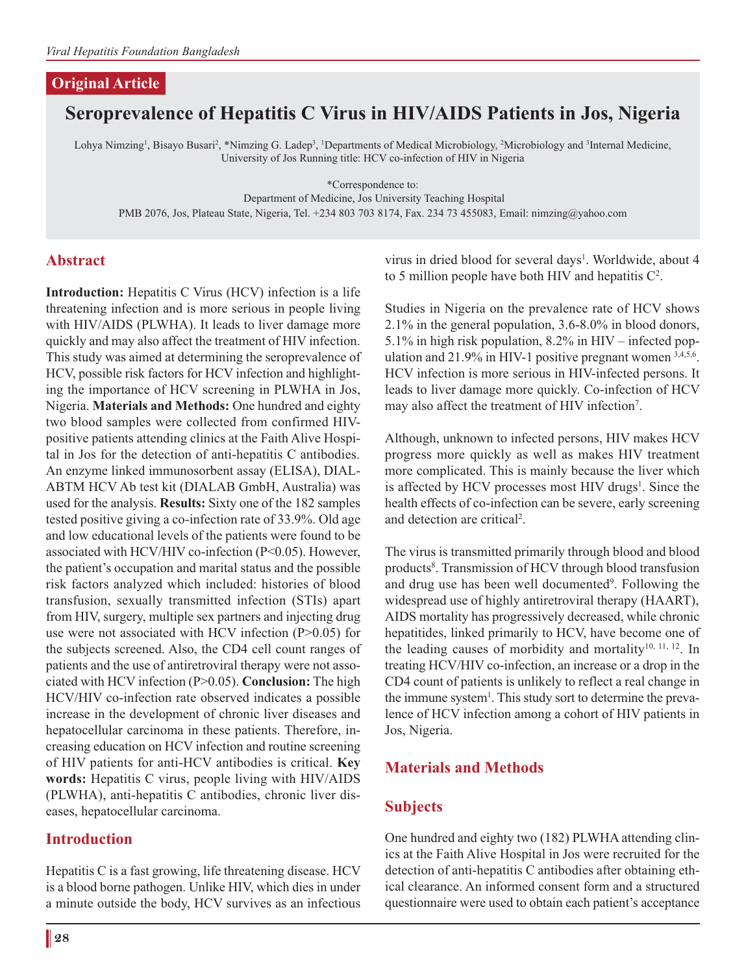#### **Original Article**

# **Seroprevalence of Hepatitis C Virus in HIV/AIDS Patients in Jos, Nigeria**

Lohya Nimzing<sup>1</sup>, Bisayo Busari<sup>2</sup>, \*Nimzing G. Ladep<sup>3</sup>, <sup>1</sup>Departments of Medical Microbiology, <sup>2</sup>Microbiology and <sup>3</sup>Internal Medicine, University of Jos Running title: HCV co-infection of HIV in Nigeria

\*Correspondence to:

Department of Medicine, Jos University Teaching Hospital PMB 2076, Jos, Plateau State, Nigeria, Tel. +234 803 703 8174, Fax. 234 73 455083, Email: nimzing@yahoo.com

#### **Abstract**

**Introduction:** Hepatitis C Virus (HCV) infection is a life threatening infection and is more serious in people living with HIV/AIDS (PLWHA). It leads to liver damage more quickly and may also affect the treatment of HIV infection. This study was aimed at determining the seroprevalence of HCV, possible risk factors for HCV infection and highlighting the importance of HCV screening in PLWHA in Jos, Nigeria. **Materials and Methods:** One hundred and eighty two blood samples were collected from confirmed HIVpositive patients attending clinics at the Faith Alive Hospital in Jos for the detection of anti-hepatitis C antibodies. An enzyme linked immunosorbent assay (ELISA), DIAL-ABTM HCV Ab test kit (DIALAB GmbH, Australia) was used for the analysis. **Results:** Sixty one of the 182 samples tested positive giving a co-infection rate of 33.9%. Old age and low educational levels of the patients were found to be associated with HCV/HIV co-infection (P<0.05). However, the patient's occupation and marital status and the possible risk factors analyzed which included: histories of blood transfusion, sexually transmitted infection (STIs) apart from HIV, surgery, multiple sex partners and injecting drug use were not associated with HCV infection (P>0.05) for the subjects screened. Also, the CD4 cell count ranges of patients and the use of antiretroviral therapy were not associated with HCV infection (P>0.05). **Conclusion:** The high HCV/HIV co-infection rate observed indicates a possible increase in the development of chronic liver diseases and hepatocellular carcinoma in these patients. Therefore, increasing education on HCV infection and routine screening of HIV patients for anti-HCV antibodies is critical. **Key words:** Hepatitis C virus, people living with HIV/AIDS (PLWHA), anti-hepatitis C antibodies, chronic liver diseases, hepatocellular carcinoma.

#### **Introduction**

Hepatitis C is a fast growing, life threatening disease. HCV is a blood borne pathogen. Unlike HIV, which dies in under a minute outside the body, HCV survives as an infectious virus in dried blood for several days<sup>1</sup>. Worldwide, about 4 to 5 million people have both HIV and hepatitis  $C^2$ .

Studies in Nigeria on the prevalence rate of HCV shows 2.1% in the general population, 3.6-8.0% in blood donors, 5.1% in high risk population, 8.2% in HIV – infected population and  $21.9\%$  in HIV-1 positive pregnant women  $3,4,5,6$ . HCV infection is more serious in HIV-infected persons. It leads to liver damage more quickly. Co-infection of HCV may also affect the treatment of HIV infection<sup>7</sup>.

Although, unknown to infected persons, HIV makes HCV progress more quickly as well as makes HIV treatment more complicated. This is mainly because the liver which is affected by HCV processes most HIV drugs<sup>1</sup>. Since the health effects of co-infection can be severe, early screening and detection are critical<sup>2</sup>.

The virus is transmitted primarily through blood and blood products<sup>8</sup>. Transmission of HCV through blood transfusion and drug use has been well documented<sup>9</sup>. Following the widespread use of highly antiretroviral therapy (HAART), AIDS mortality has progressively decreased, while chronic hepatitides, linked primarily to HCV, have become one of the leading causes of morbidity and mortality<sup>10, 11, 12</sup>. In treating HCV/HIV co-infection, an increase or a drop in the CD4 count of patients is unlikely to reflect a real change in the immune system<sup>1</sup>. This study sort to determine the prevalence of HCV infection among a cohort of HIV patients in Jos, Nigeria.

## **Materials and Methods**

#### **Subjects**

One hundred and eighty two (182) PLWHA attending clinics at the Faith Alive Hospital in Jos were recruited for the detection of anti-hepatitis C antibodies after obtaining ethical clearance. An informed consent form and a structured questionnaire were used to obtain each patient's acceptance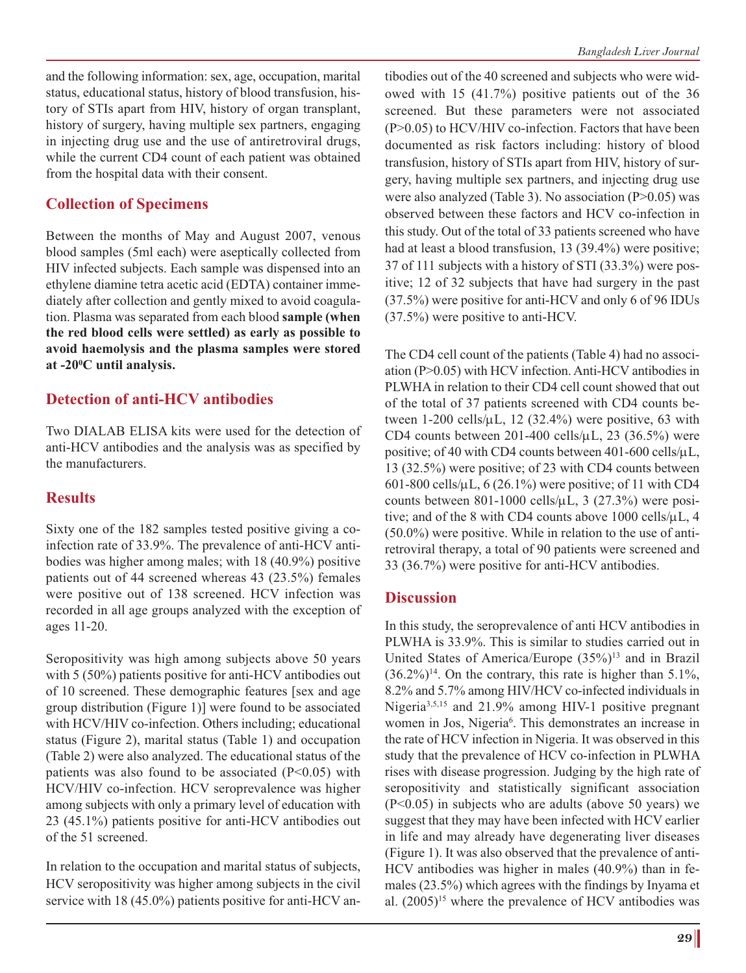and the following information: sex, age, occupation, marital status, educational status, history of blood transfusion, history of STIs apart from HIV, history of organ transplant, history of surgery, having multiple sex partners, engaging in injecting drug use and the use of antiretroviral drugs, while the current CD4 count of each patient was obtained from the hospital data with their consent.

## **Collection of Specimens**

Between the months of May and August 2007, venous blood samples (5ml each) were aseptically collected from HIV infected subjects. Each sample was dispensed into an ethylene diamine tetra acetic acid (EDTA) container immediately after collection and gently mixed to avoid coagulation. Plasma was separated from each blood **sample (when the red blood cells were settled) as early as possible to avoid haemolysis and the plasma samples were stored at -200 C until analysis.**

## **Detection of anti-HCV antibodies**

Two DIALAB ELISA kits were used for the detection of anti-HCV antibodies and the analysis was as specified by the manufacturers.

## **Results**

Sixty one of the 182 samples tested positive giving a coinfection rate of 33.9%. The prevalence of anti-HCV antibodies was higher among males; with 18 (40.9%) positive patients out of 44 screened whereas 43 (23.5%) females were positive out of 138 screened. HCV infection was recorded in all age groups analyzed with the exception of ages 11-20.

Seropositivity was high among subjects above 50 years with 5 (50%) patients positive for anti-HCV antibodies out of 10 screened. These demographic features [sex and age group distribution (Figure 1)] were found to be associated with HCV/HIV co-infection. Others including; educational status (Figure 2), marital status (Table 1) and occupation (Table 2) were also analyzed. The educational status of the patients was also found to be associated  $(P<0.05)$  with HCV/HIV co-infection. HCV seroprevalence was higher among subjects with only a primary level of education with 23 (45.1%) patients positive for anti-HCV antibodies out of the 51 screened.

In relation to the occupation and marital status of subjects, HCV seropositivity was higher among subjects in the civil service with 18 (45.0%) patients positive for anti-HCV antibodies out of the 40 screened and subjects who were widowed with 15 (41.7%) positive patients out of the 36 screened. But these parameters were not associated (P>0.05) to HCV/HIV co-infection. Factors that have been documented as risk factors including: history of blood transfusion, history of STIs apart from HIV, history of surgery, having multiple sex partners, and injecting drug use were also analyzed (Table 3). No association (P>0.05) was observed between these factors and HCV co-infection in this study. Out of the total of 33 patients screened who have had at least a blood transfusion, 13 (39.4%) were positive; 37 of 111 subjects with a history of STI (33.3%) were positive; 12 of 32 subjects that have had surgery in the past (37.5%) were positive for anti-HCV and only 6 of 96 IDUs (37.5%) were positive to anti-HCV.

The CD4 cell count of the patients (Table 4) had no association (P>0.05) with HCV infection. Anti-HCV antibodies in PLWHA in relation to their CD4 cell count showed that out of the total of 37 patients screened with CD4 counts between  $1-200$  cells/ $\mu$ L,  $12$  (32.4%) were positive, 63 with CD4 counts between 201-400 cells/ $\mu$ L, 23 (36.5%) were positive; of 40 with CD4 counts between 401-600 cells/ $\mu$ L, 13 (32.5%) were positive; of 23 with CD4 counts between 601-800 cells/ $\mu$ L, 6 (26.1%) were positive; of 11 with CD4 counts between  $801-1000$  cells/ $\mu$ L, 3 (27.3%) were positive; and of the 8 with CD4 counts above 1000 cells/μL, 4 (50.0%) were positive. While in relation to the use of antiretroviral therapy, a total of 90 patients were screened and 33 (36.7%) were positive for anti-HCV antibodies.

## **Discussion**

In this study, the seroprevalence of anti HCV antibodies in PLWHA is 33.9%. This is similar to studies carried out in United States of America/Europe (35%)<sup>13</sup> and in Brazil  $(36.2\%)^{14}$ . On the contrary, this rate is higher than 5.1%, 8.2% and 5.7% among HIV/HCV co-infected individuals in Nigeria<sup>3,5,15</sup> and 21.9% among HIV-1 positive pregnant women in Jos, Nigeria<sup>6</sup>. This demonstrates an increase in the rate of HCV infection in Nigeria. It was observed in this study that the prevalence of HCV co-infection in PLWHA rises with disease progression. Judging by the high rate of seropositivity and statistically significant association (P<0.05) in subjects who are adults (above 50 years) we suggest that they may have been infected with HCV earlier in life and may already have degenerating liver diseases (Figure 1). It was also observed that the prevalence of anti-HCV antibodies was higher in males (40.9%) than in females (23.5%) which agrees with the findings by Inyama et al.  $(2005)^{15}$  where the prevalence of HCV antibodies was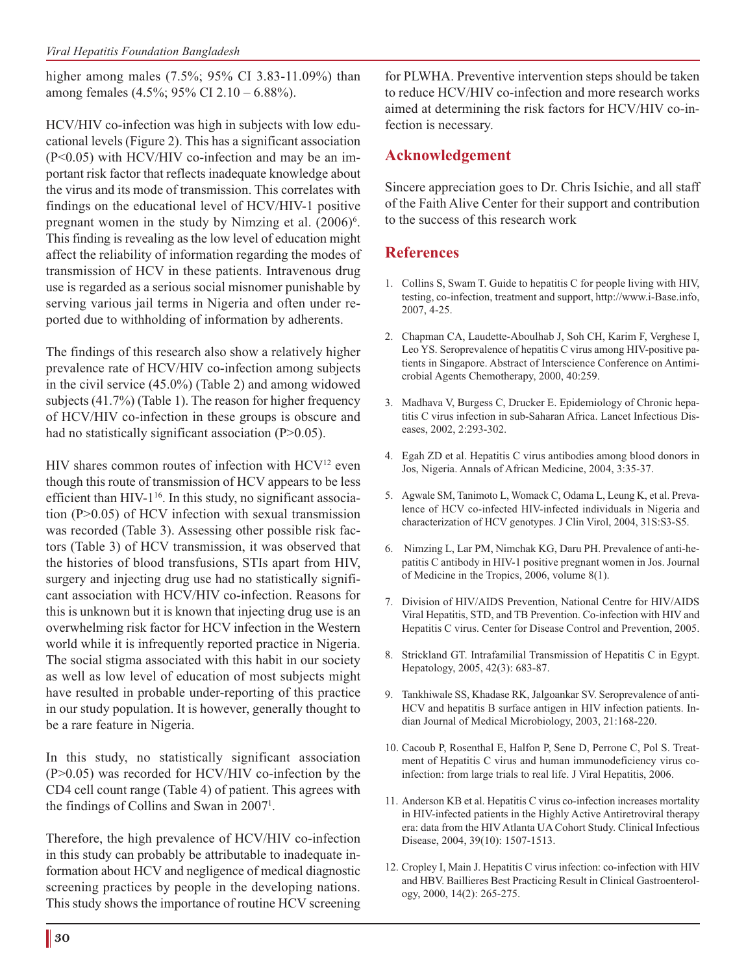higher among males (7.5%; 95% CI 3.83-11.09%) than among females (4.5%; 95% CI 2.10 – 6.88%).

HCV/HIV co-infection was high in subjects with low educational levels (Figure 2). This has a significant association (P<0.05) with HCV/HIV co-infection and may be an important risk factor that reflects inadequate knowledge about the virus and its mode of transmission. This correlates with findings on the educational level of HCV/HIV-1 positive pregnant women in the study by Nimzing et al.  $(2006)^6$ . This finding is revealing as the low level of education might affect the reliability of information regarding the modes of transmission of HCV in these patients. Intravenous drug use is regarded as a serious social misnomer punishable by serving various jail terms in Nigeria and often under reported due to withholding of information by adherents.

The findings of this research also show a relatively higher prevalence rate of HCV/HIV co-infection among subjects in the civil service (45.0%) (Table 2) and among widowed subjects (41.7%) (Table 1). The reason for higher frequency of HCV/HIV co-infection in these groups is obscure and had no statistically significant association (P>0.05).

HIV shares common routes of infection with HCV12 even though this route of transmission of HCV appears to be less efficient than HIV- $1^{16}$ . In this study, no significant association (P>0.05) of HCV infection with sexual transmission was recorded (Table 3). Assessing other possible risk factors (Table 3) of HCV transmission, it was observed that the histories of blood transfusions, STIs apart from HIV, surgery and injecting drug use had no statistically significant association with HCV/HIV co-infection. Reasons for this is unknown but it is known that injecting drug use is an overwhelming risk factor for HCV infection in the Western world while it is infrequently reported practice in Nigeria. The social stigma associated with this habit in our society as well as low level of education of most subjects might have resulted in probable under-reporting of this practice in our study population. It is however, generally thought to be a rare feature in Nigeria.

In this study, no statistically significant association (P>0.05) was recorded for HCV/HIV co-infection by the CD4 cell count range (Table 4) of patient. This agrees with the findings of Collins and Swan in 2007<sup>1</sup>.

Therefore, the high prevalence of HCV/HIV co-infection in this study can probably be attributable to inadequate information about HCV and negligence of medical diagnostic screening practices by people in the developing nations. This study shows the importance of routine HCV screening

for PLWHA. Preventive intervention steps should be taken to reduce HCV/HIV co-infection and more research works aimed at determining the risk factors for HCV/HIV co-infection is necessary.

## **Acknowledgement**

Sincere appreciation goes to Dr. Chris Isichie, and all staff of the Faith Alive Center for their support and contribution to the success of this research work

# **References**

- 1. Collins S, Swam T. Guide to hepatitis C for people living with HIV, testing, co-infection, treatment and support, http://www.i-Base.info, 2007, 4-25.
- 2. Chapman CA, Laudette-Aboulhab J, Soh CH, Karim F, Verghese I, Leo YS. Seroprevalence of hepatitis C virus among HIV-positive patients in Singapore. Abstract of Interscience Conference on Antimicrobial Agents Chemotherapy, 2000, 40:259.
- 3. Madhava V, Burgess C, Drucker E. Epidemiology of Chronic hepatitis C virus infection in sub-Saharan Africa. Lancet Infectious Diseases, 2002, 2:293-302.
- 4. Egah ZD et al. Hepatitis C virus antibodies among blood donors in Jos, Nigeria. Annals of African Medicine, 2004, 3:35-37.
- 5. Agwale SM, Tanimoto L, Womack C, Odama L, Leung K, et al. Prevalence of HCV co-infected HIV-infected individuals in Nigeria and characterization of HCV genotypes. J Clin Virol, 2004, 31S:S3-S5.
- 6. Nimzing L, Lar PM, Nimchak KG, Daru PH. Prevalence of anti-hepatitis C antibody in HIV-1 positive pregnant women in Jos. Journal of Medicine in the Tropics, 2006, volume 8(1).
- 7. Division of HIV/AIDS Prevention, National Centre for HIV/AIDS Viral Hepatitis, STD, and TB Prevention. Co-infection with HIV and Hepatitis C virus. Center for Disease Control and Prevention, 2005.
- 8. Strickland GT. Intrafamilial Transmission of Hepatitis C in Egypt. Hepatology, 2005, 42(3): 683-87.
- 9. Tankhiwale SS, Khadase RK, Jalgoankar SV. Seroprevalence of anti-HCV and hepatitis B surface antigen in HIV infection patients. Indian Journal of Medical Microbiology, 2003, 21:168-220.
- 10. Cacoub P, Rosenthal E, Halfon P, Sene D, Perrone C, Pol S. Treatment of Hepatitis C virus and human immunodeficiency virus coinfection: from large trials to real life. J Viral Hepatitis, 2006.
- 11. Anderson KB et al. Hepatitis C virus co-infection increases mortality in HIV-infected patients in the Highly Active Antiretroviral therapy era: data from the HIV Atlanta UA Cohort Study. Clinical Infectious Disease, 2004, 39(10): 1507-1513.
- 12. Cropley I, Main J. Hepatitis C virus infection: co-infection with HIV and HBV. Baillieres Best Practicing Result in Clinical Gastroenterology, 2000, 14(2): 265-275.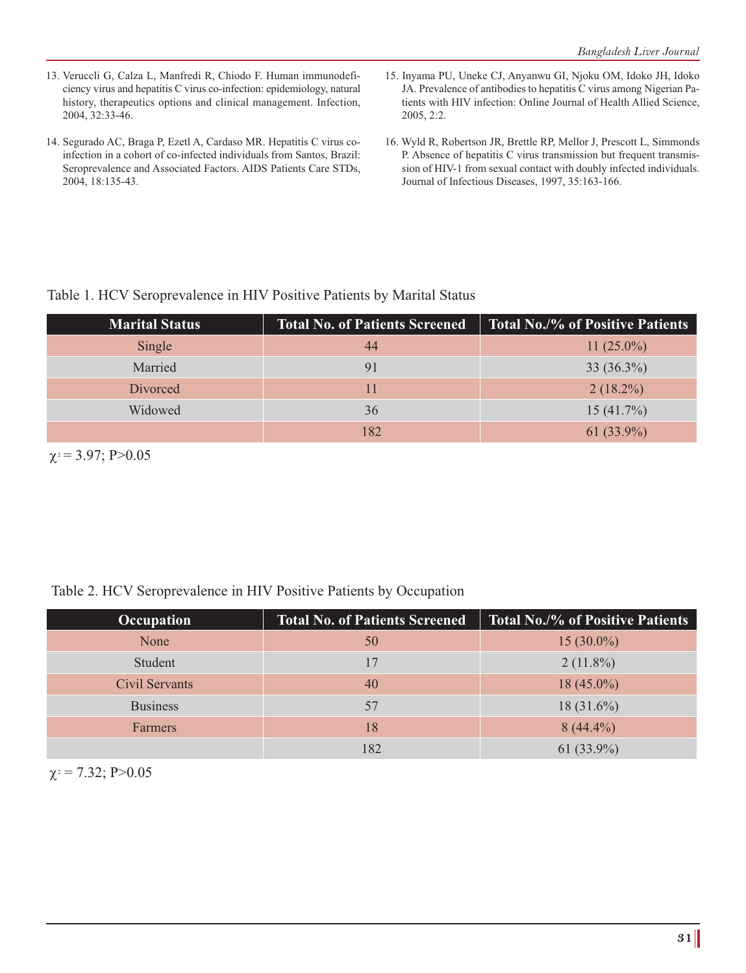- 13. Veruccli G, Calza L, Manfredi R, Chiodo F. Human immunodeficiency virus and hepatitis C virus co-infection: epidemiology, natural history, therapeutics options and clinical management. Infection, 2004, 32:33-46.
- 14. Segurado AC, Braga P, Ezetl A, Cardaso MR. Hepatitis C virus coinfection in a cohort of co-infected individuals from Santos, Brazil: Seroprevalence and Associated Factors. AIDS Patients Care STDs, 2004, 18:135-43.
- 15. Inyama PU, Uneke CJ, Anyanwu GI, Njoku OM, Idoko JH, Idoko JA. Prevalence of antibodies to hepatitis C virus among Nigerian Patients with HIV infection: Online Journal of Health Allied Science, 2005, 2:2.
- 16. Wyld R, Robertson JR, Brettle RP, Mellor J, Prescott L, Simmonds P. Absence of hepatitis C virus transmission but frequent transmission of HIV-1 from sexual contact with doubly infected individuals. Journal of Infectious Diseases, 1997, 35:163-166.

# Table 1. HCV Seroprevalence in HIV Positive Patients by Marital Status

| <b>Marital Status</b> | <b>Total No. of Patients Screened</b> | Total No./% of Positive Patients |
|-----------------------|---------------------------------------|----------------------------------|
| Single                | 44                                    | 11 $(25.0\%)$                    |
| Married               | 91                                    | $33(36.3\%)$                     |
| Divorced              | 11                                    | $2(18.2\%)$                      |
| Widowed               | 36                                    | $15(41.7\%)$                     |
|                       | 182                                   | $61(33.9\%)$                     |

 $\chi$ <sup>2</sup> = 3.97; P>0.05

## Table 2. HCV Seroprevalence in HIV Positive Patients by Occupation

| Occupation      | <b>Total No. of Patients Screened</b> | <b>Total No./% of Positive Patients</b> |
|-----------------|---------------------------------------|-----------------------------------------|
| None            | 50                                    | $15(30.0\%)$                            |
| Student         | 17                                    | $2(11.8\%)$                             |
| Civil Servants  | 40                                    | $18(45.0\%)$                            |
| <b>Business</b> | 57                                    | $18(31.6\%)$                            |
| <b>Farmers</b>  | 18                                    | $8(44.4\%)$                             |
|                 | 182                                   | 61 $(33.9\%)$                           |

 $\chi$ <sup>2</sup> = 7.32; P>0.05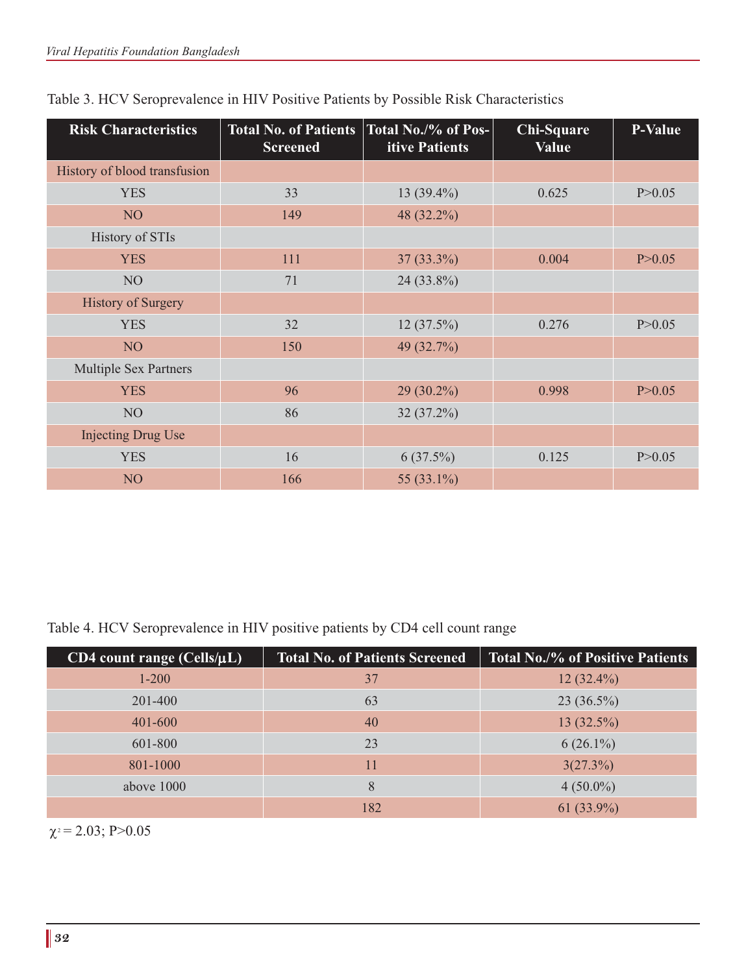| <b>Risk Characteristics</b>  | <b>Total No. of Patients</b><br><b>Screened</b> | Total No./% of Pos-<br>itive Patients | <b>Chi-Square</b><br><b>Value</b> | P-Value  |
|------------------------------|-------------------------------------------------|---------------------------------------|-----------------------------------|----------|
| History of blood transfusion |                                                 |                                       |                                   |          |
| <b>YES</b>                   | 33                                              | $13(39.4\%)$                          | 0.625                             | P > 0.05 |
| NO <sub>1</sub>              | 149                                             | 48 (32.2%)                            |                                   |          |
| History of STIs              |                                                 |                                       |                                   |          |
| <b>YES</b>                   | 111                                             | $37(33.3\%)$                          | 0.004                             | P > 0.05 |
| NO <sub>1</sub>              | 71                                              | 24 (33.8%)                            |                                   |          |
| <b>History of Surgery</b>    |                                                 |                                       |                                   |          |
| <b>YES</b>                   | 32                                              | $12(37.5\%)$                          | 0.276                             | P > 0.05 |
| NO <sub>1</sub>              | 150                                             | 49 (32.7%)                            |                                   |          |
| <b>Multiple Sex Partners</b> |                                                 |                                       |                                   |          |
| <b>YES</b>                   | 96                                              | $29(30.2\%)$                          | 0.998                             | P > 0.05 |
| NO <sub>1</sub>              | 86                                              | $32(37.2\%)$                          |                                   |          |
| <b>Injecting Drug Use</b>    |                                                 |                                       |                                   |          |
| <b>YES</b>                   | 16                                              | $6(37.5\%)$                           | 0.125                             | P > 0.05 |
| N <sub>O</sub>               | 166                                             | 55 (33.1%)                            |                                   |          |

|  | Table 3. HCV Seroprevalence in HIV Positive Patients by Possible Risk Characteristics |
|--|---------------------------------------------------------------------------------------|
|--|---------------------------------------------------------------------------------------|

Table 4. HCV Seroprevalence in HIV positive patients by CD4 cell count range

| $CD4$ count range (Cells/ $\mu L$ ) | <b>Total No. of Patients Screened</b> | <b>Total No./% of Positive Patients</b> |
|-------------------------------------|---------------------------------------|-----------------------------------------|
| $1 - 200$                           | 37                                    | $12(32.4\%)$                            |
| 201-400                             | 63                                    | $23(36.5\%)$                            |
| 401-600                             | 40                                    | $13(32.5\%)$                            |
| 601-800                             | 23                                    | $6(26.1\%)$                             |
| 801-1000                            | 11                                    | 3(27.3%)                                |
| above 1000                          | 8                                     | $4(50.0\%)$                             |
|                                     | 182                                   | 61 $(33.9\%)$                           |

 $\chi$ <sup>2</sup> = 2.03; P>0.05